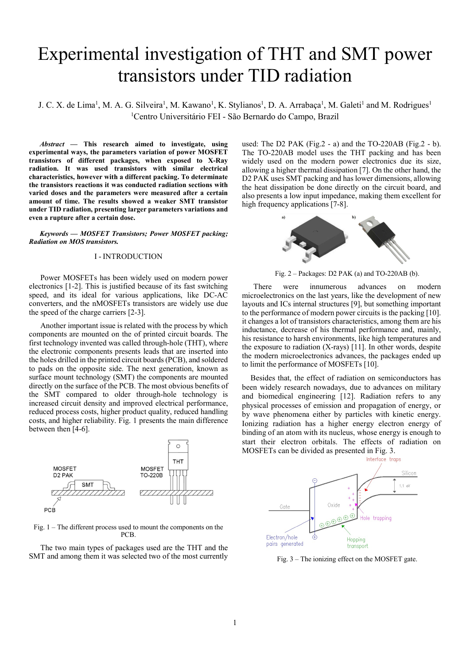# Experimental investigation of THT and SMT power transistors under TID radiation

J. C. X. de Lima<sup>1</sup>, M. A. G. Silveira<sup>1</sup>, M. Kawano<sup>1</sup>, K. Stylianos<sup>1</sup>, D. A. Arrabaça<sup>1</sup>, M. Galeti<sup>1</sup> and M. Rodrigues<sup>1</sup> <sup>1</sup>Centro Universitário FEI - São Bernardo do Campo, Brazil

 $Abstract$  — This research aimed to investigate, using experimental ways, the parameters variation of power MOSFET transistors of different packages, when exposed to X-Ray radiation. It was used transistors with similar electrical characteristics, however with a different packing. To determinate the transistors reactions it was conducted radiation sections with varied doses and the parameters were measured after a certain amount of time. The results showed a weaker SMT transistor under TID radiation, presenting larger parameters variations and even a rupture after a certain dose.

Keywords — MOSFET Transistors; Power MOSFET packing; Radiation on MOS transistors.

## I - INTRODUCTION

Power MOSFETs has been widely used on modern power electronics [1-2]. This is justified because of its fast switching speed, and its ideal for various applications, like DC-AC converters, and the nMOSFETs transistors are widely use due the speed of the charge carriers [2-3].

Another important issue is related with the process by which components are mounted on the of printed circuit boards. The first technology invented was called through-hole (THT), where the electronic components presents leads that are inserted into the holes drilled in the printed circuit boards (PCB), and soldered to pads on the opposite side. The next generation, known as surface mount technology (SMT) the components are mounted directly on the surface of the PCB. The most obvious benefits of the SMT compared to older through-hole technology is increased circuit density and improved electrical performance, reduced process costs, higher product quality, reduced handling costs, and higher reliability. Fig. 1 presents the main difference between then [4-6].



Fig. 1 – The different process used to mount the components on the PCB.

The two main types of packages used are the THT and the SMT and among them it was selected two of the most currently

used: The D2 PAK (Fig.2 - a) and the TO-220AB (Fig.2 - b). The TO-220AB model uses the THT packing and has been widely used on the modern power electronics due its size, allowing a higher thermal dissipation [7]. On the other hand, the D2 PAK uses SMT packing and has lower dimensions, allowing the heat dissipation be done directly on the circuit board, and also presents a low input impedance, making them excellent for high frequency applications [7-8].



Fig.  $2 -$  Packages: D2 PAK (a) and TO-220AB (b).

There were innumerous advances on modern microelectronics on the last years, like the development of new layouts and ICs internal structures [9], but something important to the performance of modern power circuits is the packing [10]. it changes a lot of transistors characteristics, among them are his inductance, decrease of his thermal performance and, mainly, his resistance to harsh environments, like high temperatures and the exposure to radiation (X-rays) [11]. In other words, despite the modern microelectronics advances, the packages ended up to limit the performance of MOSFETs [10].

Besides that, the effect of radiation on semiconductors has been widely research nowadays, due to advances on military and biomedical engineering [12]. Radiation refers to any physical processes of emission and propagation of energy, or by wave phenomena either by particles with kinetic energy. Ionizing radiation has a higher energy electron energy of binding of an atom with its nucleus, whose energy is enough to start their electron orbitals. The effects of radiation on MOSFETs can be divided as presented in Fig. 3.



Fig. 3 – The ionizing effect on the MOSFET gate.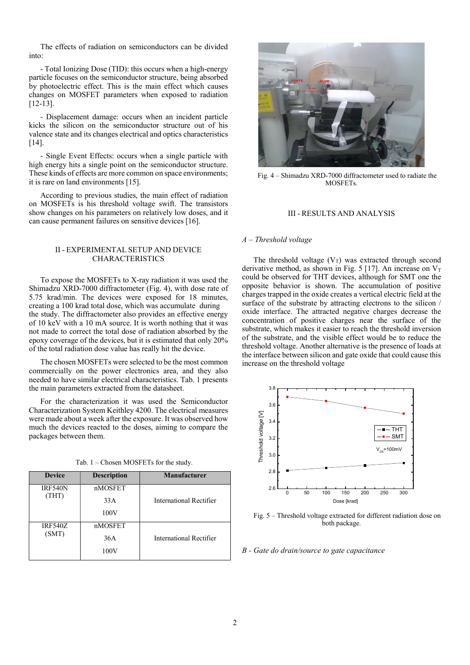The effects of radiation on semiconductors can be divided into:

- Total Ionizing Dose (TID): this occurs when a high-energy particle focuses on the semiconductor structure, being absorbed by photoelectric effect. This is the main effect which causes changes on MOSFET parameters when exposed to radiation [12-13].

- Displacement damage: occurs when an incident particle kicks the silicon on the semiconductor structure out of his valence state and its changes electrical and optics characteristics  $[14]$ .

- Single Event Effects: occurs when a single particle with high energy hits a single point on the semiconductor structure. These kinds of effects are more common on space environments; it is rare on land environments [15].

According to previous studies, the main effect of radiation on MOSFETs is his threshold voltage swift. The transistors show changes on his parameters on relatively low doses, and it can cause permanent failures on sensitive devices [16].

# II - EXPERIMENTAL SETUP AND DEVICE CHARACTERISTICS

To expose the MOSFETs to X-ray radiation it was used the Shimadzu XRD-7000 diffractometer (Fig. 4), with dose rate of 5.75 krad/min. The devices were exposed for 18 minutes, creating a 100 krad total dose, which was accumulate during the study. The diffractometer also provides an effective energy of 10 keV with a 10 mA source. It is worth nothing that it was not made to correct the total dose of radiation absorbed by the epoxy coverage of the devices, but it is estimated that only 20% of the total radiation dose value has really hit the device.

The chosen MOSFETs were selected to be the most common commercially on the power electronics area, and they also needed to have similar electrical characteristics. Tab. 1 presents the main parameters extracted from the datasheet.

For the characterization it was used the Semiconductor Characterization System Keithley 4200. The electrical measures were made about a week after the exposure. It was observed how much the devices reacted to the doses, aiming to compare the packages between them.

|  |  |  | Tab. 1 – Chosen MOSFETs for the study. |  |  |  |
|--|--|--|----------------------------------------|--|--|--|
|--|--|--|----------------------------------------|--|--|--|

| <b>Device</b>           | <b>Description</b>     | <b>Manufacturer</b>     |
|-------------------------|------------------------|-------------------------|
| <b>IRF540N</b><br>(THT) | nMOSFET<br>33A         | International Rectifier |
|                         | 100V                   |                         |
| <b>IRF540Z</b><br>(SMT) | nMOSFET<br>36A<br>100V | International Rectifier |



Fig. 4 – Shimadzu XRD-7000 diffractometer used to radiate the MOSFETs.

# III - RESULTS AND ANALYSIS

#### $A$  – Threshold voltage

The threshold voltage  $(V_T)$  was extracted through second derivative method, as shown in Fig. 5 [17]. An increase on  $V_T$ could be observed for THT devices, although for SMT one the opposite behavior is shown. The accumulation of positive charges trapped in the oxide creates a vertical electric field at the surface of the substrate by attracting electrons to the silicon / oxide interface. The attracted negative charges decrease the concentration of positive charges near the surface of the substrate, which makes it easier to reach the threshold inversion of the substrate, and the visible effect would be to reduce the threshold voltage. Another alternative is the presence of loads at the interface between silicon and gate oxide that could cause this increase on the threshold voltage



Fig. 5 – Threshold voltage extracted for different radiation dose on both package.

B - Gate do drain/source to gate capacitance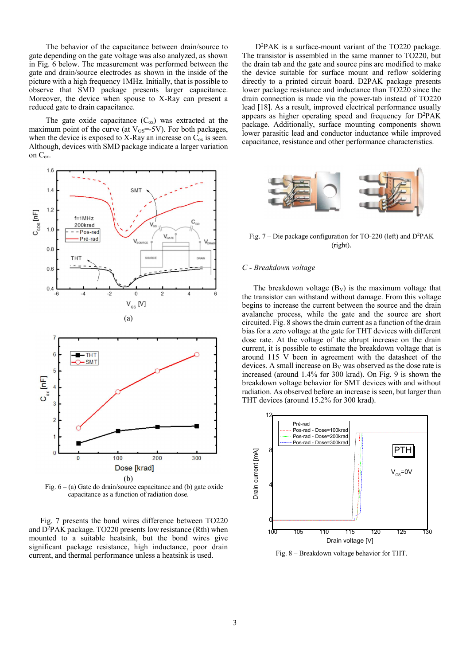The behavior of the capacitance between drain/source to gate depending on the gate voltage was also analyzed, as shown in Fig. 6 below. The measurement was performed between the gate and drain/source electrodes as shown in the inside of the picture with a high frequency 1MHz. Initially, that is possible to observe that SMD package presents larger capacitance. Moreover, the device when spouse to X-Ray can present a reduced gate to drain capacitance.

The gate oxide capacitance  $(C_{ox})$  was extracted at the maximum point of the curve (at  $V_{GS}$ =-5V). For both packages, when the device is exposed to X-Ray an increase on  $C_{ox}$  is seen. Although, devices with SMD package indicate a larger variation on Cox.



Fig.  $6 - (a)$  Gate do drain/source capacitance and (b) gate oxide capacitance as a function of radiation dose.

Fig. 7 presents the bond wires difference between TO220 and  $D^2PAK$  package. TO220 presents low resistance (Rth) when mounted to a suitable heatsink, but the bond wires give significant package resistance, high inductance, poor drain current, and thermal performance unless a heatsink is used.

 D<sup>2</sup>PAK is a surface-mount variant of the TO220 package. The transistor is assembled in the same manner to TO220, but the drain tab and the gate and source pins are modified to make the device suitable for surface mount and reflow soldering directly to a printed circuit board. D2PAK package presents lower package resistance and inductance than TO220 since the drain connection is made via the power-tab instead of TO220 lead [18]. As a result, improved electrical performance usually appears as higher operating speed and frequency for D<sup>2</sup>PAK package. Additionally, surface mounting components shown lower parasitic lead and conductor inductance while improved capacitance, resistance and other performance characteristics.



Fig.  $7 -$ Die package configuration for TO-220 (left) and D<sup>2</sup>PAK (right).

# C - Breakdown voltage

The breakdown voltage  $(B_V)$  is the maximum voltage that the transistor can withstand without damage. From this voltage begins to increase the current between the source and the drain avalanche process, while the gate and the source are short circuited. Fig. 8 shows the drain current as a function of the drain bias for a zero voltage at the gate for THT devices with different dose rate. At the voltage of the abrupt increase on the drain current, it is possible to estimate the breakdown voltage that is around 115 V been in agreement with the datasheet of the devices. A small increase on  $B_V$  was observed as the dose rate is increased (around 1.4% for 300 krad). On Fig. 9 is shown the breakdown voltage behavior for SMT devices with and without radiation. As observed before an increase is seen, but larger than THT devices (around 15.2% for 300 krad).



Fig. 8 – Breakdown voltage behavior for THT.